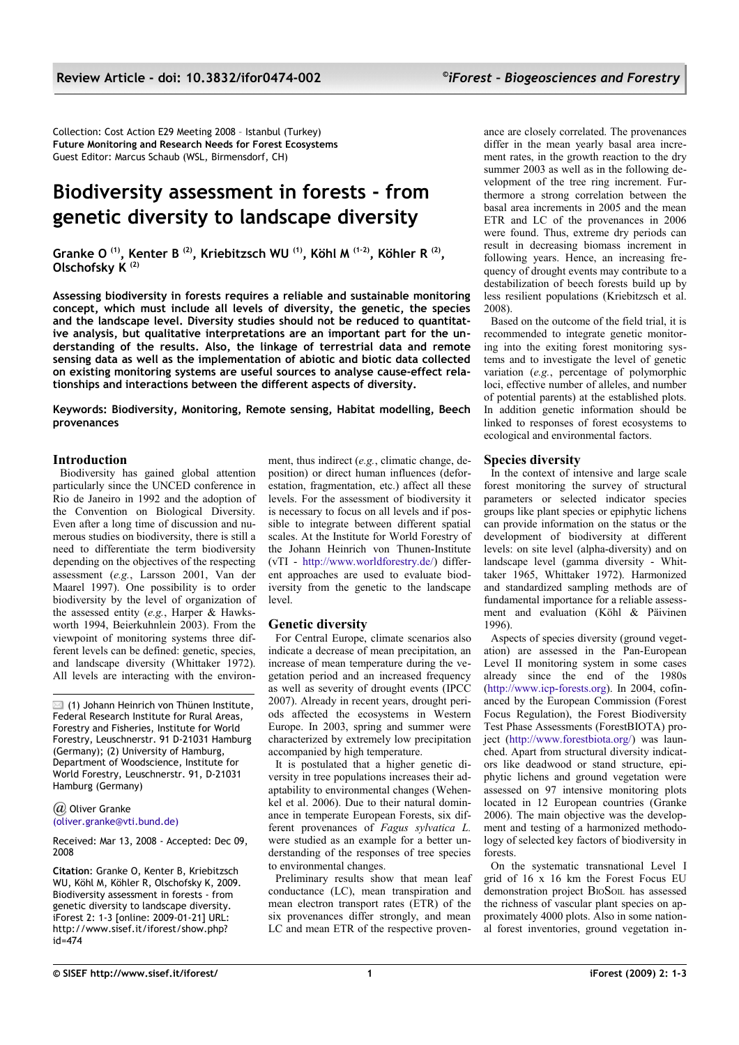Collection: Cost Action E29 Meeting 2008 – Istanbul (Turkey) **Future Monitoring and Research Needs for Forest Ecosystems** Guest Editor: Marcus Schaub (WSL, Birmensdorf, CH)

# **Biodiversity assessment in forests - from genetic diversity to landscape diversity**

**Granke O (1), Kenter B (2), Kriebitzsch WU (1), Köhl M (1-2), Köhler R (2) , Olschofsky K (2)**

**Assessing biodiversity in forests requires a reliable and sustainable monitoring concept, which must include all levels of diversity, the genetic, the species and the landscape level. Diversity studies should not be reduced to quantitative analysis, but qualitative interpretations are an important part for the understanding of the results. Also, the linkage of terrestrial data and remote sensing data as well as the implementation of abiotic and biotic data collected on existing monitoring systems are useful sources to analyse cause-effect relationships and interactions between the different aspects of diversity.**

**Keywords: Biodiversity, Monitoring, Remote sensing, Habitat modelling, Beech provenances**

### **Introduction**

Biodiversity has gained global attention particularly since the UNCED conference in Rio de Janeiro in 1992 and the adoption of the Convention on Biological Diversity. Even after a long time of discussion and numerous studies on biodiversity, there is still a need to differentiate the term biodiversity depending on the objectives of the respecting assessment (*e.g.*, Larsson 2001, Van der Maarel 1997). One possibility is to order biodiversity by the level of organization of the assessed entity (*e.g.*, Harper & Hawksworth 1994, Beierkuhnlein 2003). From the viewpoint of monitoring systems three different levels can be defined: genetic, species, and landscape diversity (Whittaker 1972). All levels are interacting with the environ-

 $\boxtimes$  (1) Johann Heinrich von Thünen Institute, Federal Research Institute for Rural Areas, Forestry and Fisheries, Institute for World Forestry, Leuschnerstr. 91 D-21031 Hamburg (Germany); (2) University of Hamburg, Department of Woodscience, Institute for World Forestry, Leuschnerstr. 91, D-21031 Hamburg (Germany)

#### *@* Oliver Grank[e](mailto:oliver.granke@vti.bund.de) [\(oliver.granke@vti.bund.de\)](mailto:oliver.granke@vti.bund.de)

Received: Mar 13, 2008 - Accepted: Dec 09, 2008

**Citation**: Granke O, Kenter B, Kriebitzsch WU, Köhl M, Köhler R, Olschofsky K, 2009. Biodiversity assessment in forests - from genetic diversity to landscape diversity. iForest 2: 1-3 [online: 2009-01-21] URL: http://www.sisef.it/iforest/show.php?  $id = 474$ 

ment, thus indirect (*e.g.*, climatic change, deposition) or direct human influences (deforestation, fragmentation, etc.) affect all these levels. For the assessment of biodiversity it is necessary to focus on all levels and if possible to integrate between different spatial scales. At the Institute for World Forestry of the Johann Heinrich von Thunen-Institute (vTI - [http://www.worldforestry.de/\)](http://www.worldforestry.de/) different approaches are used to evaluate biodiversity from the genetic to the landscape level.

## **Genetic diversity**

For Central Europe, climate scenarios also indicate a decrease of mean precipitation, an increase of mean temperature during the vegetation period and an increased frequency as well as severity of drought events (IPCC 2007). Already in recent years, drought periods affected the ecosystems in Western Europe. In 2003, spring and summer were characterized by extremely low precipitation accompanied by high temperature.

It is postulated that a higher genetic diversity in tree populations increases their adaptability to environmental changes (Wehenkel et al. 2006). Due to their natural dominance in temperate European Forests, six different provenances of *Fagus sylvatica L.* were studied as an example for a better understanding of the responses of tree species to environmental changes.

Preliminary results show that mean leaf conductance (LC), mean transpiration and mean electron transport rates (ETR) of the six provenances differ strongly, and mean LC and mean ETR of the respective provenance are closely correlated. The provenances differ in the mean yearly basal area increment rates, in the growth reaction to the dry summer 2003 as well as in the following development of the tree ring increment. Furthermore a strong correlation between the basal area increments in 2005 and the mean ETR and LC of the provenances in 2006 were found. Thus, extreme dry periods can result in decreasing biomass increment in following years. Hence, an increasing frequency of drought events may contribute to a destabilization of beech forests build up by less resilient populations (Kriebitzsch et al. 2008).

Based on the outcome of the field trial, it is recommended to integrate genetic monitoring into the exiting forest monitoring systems and to investigate the level of genetic variation (*e.g.*, percentage of polymorphic loci, effective number of alleles, and number of potential parents) at the established plots. In addition genetic information should be linked to responses of forest ecosystems to ecological and environmental factors.

### **Species diversity**

In the context of intensive and large scale forest monitoring the survey of structural parameters or selected indicator species groups like plant species or epiphytic lichens can provide information on the status or the development of biodiversity at different levels: on site level (alpha-diversity) and on landscape level (gamma diversity - Whittaker 1965, Whittaker 1972). Harmonized and standardized sampling methods are of fundamental importance for a reliable assessment and evaluation (Köhl & Päivinen 1996).

Aspects of species diversity (ground vegetation) are assessed in the Pan-European Level II monitoring system in some cases already since the end of the 1980s [\(http://www.icp-forests.org\)](http://www.icp-forests.org/). In 2004, cofinanced by the European Commission (Forest Focus Regulation), the Forest Biodiversity Test Phase Assessments (ForestBIOTA) project [\(http://www.forestbiota.org/\)](http://www.forestbiota.org/) was launched. Apart from structural diversity indicators like deadwood or stand structure, epiphytic lichens and ground vegetation were assessed on 97 intensive monitoring plots located in 12 European countries (Granke 2006). The main objective was the development and testing of a harmonized methodology of selected key factors of biodiversity in forests.

On the systematic transnational Level I grid of 16 x 16 km the Forest Focus EU demonstration project BIOSOIL has assessed the richness of vascular plant species on approximately 4000 plots. Also in some national forest inventories, ground vegetation in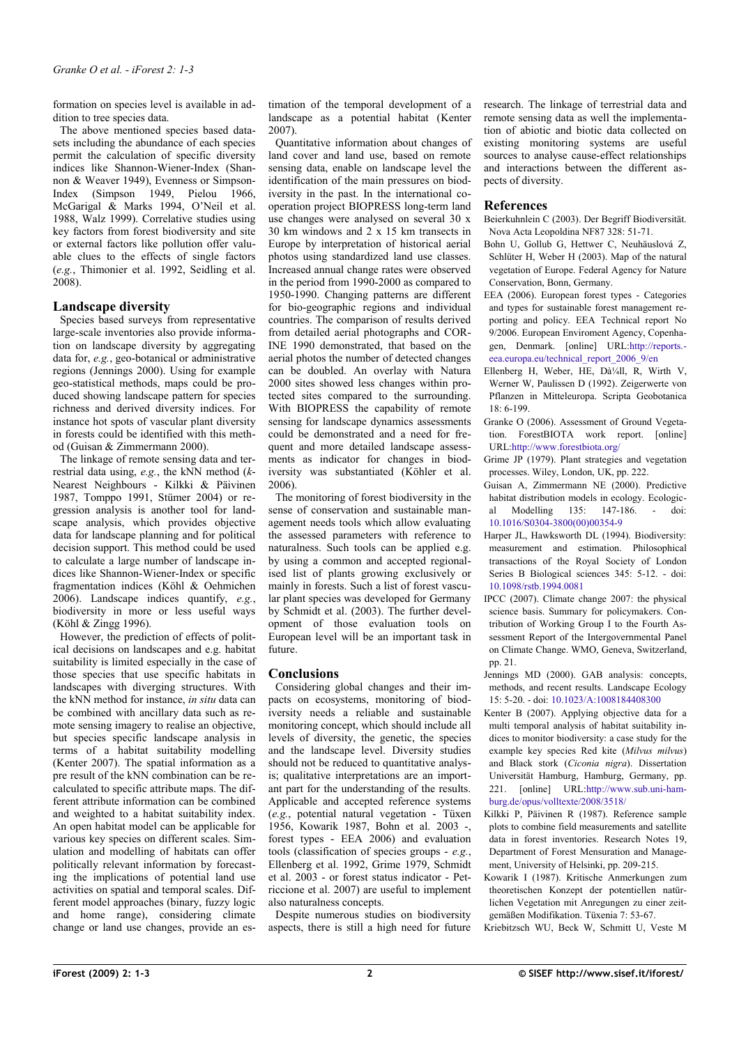formation on species level is available in addition to tree species data.

The above mentioned species based datasets including the abundance of each species permit the calculation of specific diversity indices like Shannon-Wiener-Index (Shannon & Weaver 1949), Evenness or Simpson-Index (Simpson 1949, Pielou 1966, McGarigal & Marks 1994, O'Neil et al. 1988, Walz 1999). Correlative studies using key factors from forest biodiversity and site or external factors like pollution offer valuable clues to the effects of single factors (*e.g.*, Thimonier et al. 1992, Seidling et al. 2008).

## **Landscape diversity**

Species based surveys from representative large-scale inventories also provide information on landscape diversity by aggregating data for, *e.g.*, geo-botanical or administrative regions (Jennings 2000). Using for example geo-statistical methods, maps could be produced showing landscape pattern for species richness and derived diversity indices. For instance hot spots of vascular plant diversity in forests could be identified with this method (Guisan & Zimmermann 2000).

The linkage of remote sensing data and terrestrial data using, *e.g.*, the kNN method (*k*-Nearest Neighbours - Kilkki & Päivinen 1987, Tomppo 1991, Stümer 2004) or regression analysis is another tool for landscape analysis, which provides objective data for landscape planning and for political decision support. This method could be used to calculate a large number of landscape indices like Shannon-Wiener-Index or specific fragmentation indices (Köhl & Oehmichen 2006). Landscape indices quantify, *e.g.*, biodiversity in more or less useful ways (Köhl & Zingg 1996).

However, the prediction of effects of political decisions on landscapes and e.g. habitat suitability is limited especially in the case of those species that use specific habitats in landscapes with diverging structures. With the kNN method for instance, *in situ* data can be combined with ancillary data such as remote sensing imagery to realise an objective, but species specific landscape analysis in terms of a habitat suitability modelling (Kenter 2007). The spatial information as a pre result of the kNN combination can be recalculated to specific attribute maps. The different attribute information can be combined and weighted to a habitat suitability index. An open habitat model can be applicable for various key species on different scales. Simulation and modelling of habitats can offer politically relevant information by forecasting the implications of potential land use activities on spatial and temporal scales. Different model approaches (binary, fuzzy logic and home range), considering climate change or land use changes, provide an estimation of the temporal development of a landscape as a potential habitat (Kenter 2007).

Quantitative information about changes of land cover and land use, based on remote sensing data, enable on landscape level the identification of the main pressures on biodiversity in the past. In the international cooperation project BIOPRESS long-term land use changes were analysed on several 30 x 30 km windows and  $2 \times 15$  km transects in Europe by interpretation of historical aerial photos using standardized land use classes. Increased annual change rates were observed in the period from 1990-2000 as compared to 1950-1990. Changing patterns are different for bio-geographic regions and individual countries. The comparison of results derived from detailed aerial photographs and COR-INE 1990 demonstrated, that based on the aerial photos the number of detected changes can be doubled. An overlay with Natura 2000 sites showed less changes within protected sites compared to the surrounding. With BIOPRESS the capability of remote sensing for landscape dynamics assessments could be demonstrated and a need for frequent and more detailed landscape assessments as indicator for changes in biodiversity was substantiated (Köhler et al. 2006).

The monitoring of forest biodiversity in the sense of conservation and sustainable management needs tools which allow evaluating the assessed parameters with reference to naturalness. Such tools can be applied e.g. by using a common and accepted regionalised list of plants growing exclusively or mainly in forests. Such a list of forest vascular plant species was developed for Germany by Schmidt et al. (2003). The further development of those evaluation tools on European level will be an important task in future.

### **Conclusions**

Considering global changes and their impacts on ecosystems, monitoring of biodiversity needs a reliable and sustainable monitoring concept, which should include all levels of diversity, the genetic, the species and the landscape level. Diversity studies should not be reduced to quantitative analysis; qualitative interpretations are an important part for the understanding of the results. Applicable and accepted reference systems (*e.g.*, potential natural vegetation - Tüxen 1956, Kowarik 1987, Bohn et al. 2003 -, forest types - EEA 2006) and evaluation tools (classification of species groups - *e.g.*, Ellenberg et al. 1992, Grime 1979, Schmidt et al. 2003 - or forest status indicator - Petriccione et al. 2007) are useful to implement also naturalness concepts.

Despite numerous studies on biodiversity aspects, there is still a high need for future research. The linkage of terrestrial data and remote sensing data as well the implementation of abiotic and biotic data collected on existing monitoring systems are useful sources to analyse cause-effect relationships and interactions between the different aspects of diversity.

### **References**

Beierkuhnlein C (2003). Der Begriff Biodiversität. Nova Acta Leopoldina NF87 328: 51-71.

- Bohn U, Gollub G, Hettwer C, Neuhäuslová Z, Schlüter H, Weber H (2003). Map of the natural vegetation of Europe. Federal Agency for Nature Conservation, Bonn, Germany.
- EEA (2006). European forest types Categories and types for sustainable forest management reporting and policy. EEA Technical report No 9/2006. European Enviroment Agency, Copenhagen, Denmark. [online] URL[:http://reports.](http://reports.eea.europa.eu/technical_report_2006_9/en) [eea.europa.eu/technical\\_report\\_2006\\_9/en](http://reports.eea.europa.eu/technical_report_2006_9/en)
- Ellenberg H, Weber, HE,  $\overline{Da^2/4}$ ll, R, Wirth V, Werner W, Paulissen D (1992). Zeigerwerte von Pflanzen in Mitteleuropa. Scripta Geobotanica 18: 6-199.
- Granke O (2006). Assessment of Ground Vegetation. ForestBIOTA work report. [online] URL[:http://www.forestbiota.org/](http://www.forestbiota.org/)
- Grime JP (1979). Plant strategies and vegetation processes. Wiley, London, UK, pp. 222.
- Guisan A, Zimmermann NE (2000). Predictive habitat distribution models in ecology. Ecologic-<br>al Modelling 135: 147-186. - doi: al Modelling 135: 147-186. - doi: [10.1016/S0304-3800\(00\)00354-9](http://dx.doi.org/10.1016/S0304-3800%5C(00%5C)00354-9)
- Harper JL, Hawksworth DL (1994). Biodiversity: measurement and estimation. Philosophical transactions of the Royal Society of London Series B Biological sciences 345: 5-12. - doi: [10.1098/rstb.1994.0081](http://dx.doi.org/10.1098/rstb.1994.0081)
- IPCC (2007). Climate change 2007: the physical science basis. Summary for policymakers. Contribution of Working Group I to the Fourth Assessment Report of the Intergovernmental Panel on Climate Change. WMO, Geneva, Switzerland, pp. 21.
- Jennings MD (2000). GAB analysis: concepts, methods, and recent results. Landscape Ecology 15: 5-20. - doi: [10.1023/A:1008184408300](http://dx.doi.org/10.1023/A:1008184408300)
- Kenter B (2007). Applying objective data for a multi temporal analysis of habitat suitability indices to monitor biodiversity: a case study for the example key species Red kite (*Milvus milvus*) and Black stork (*Ciconia nigra*). Dissertation Universität Hamburg, Hamburg, Germany, pp. 221. [online] URL[:http://www.sub.uni-ham](http://www.sub.uni-hamburg.de/opus/volltexte/2008/3518/)[burg.de/opus/volltexte/2008/3518/](http://www.sub.uni-hamburg.de/opus/volltexte/2008/3518/)
- Kilkki P, Päivinen R (1987). Reference sample plots to combine field measurements and satellite data in forest inventories. Research Notes 19, Department of Forest Mensuration and Management, University of Helsinki, pp. 209-215.
- Kowarik I (1987). Kritische Anmerkungen zum theoretischen Konzept der potentiellen natürlichen Vegetation mit Anregungen zu einer zeitgemäßen Modifikation. Tüxenia 7: 53-67.
- Kriebitzsch WU, Beck W, Schmitt U, Veste M